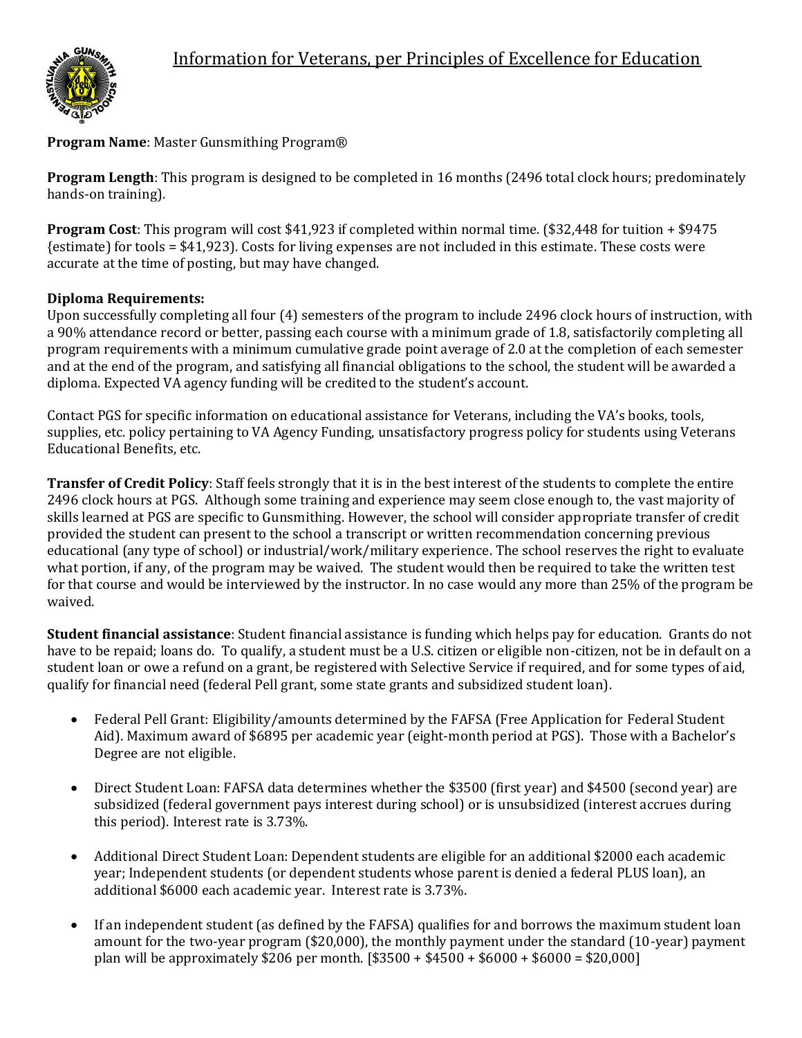

# **Program Name**: Master Gunsmithing Program®

**Program Length**: This program is designed to be completed in 16 months (2496 total clock hours; predominately hands-on training).

**Program Cost**: This program will cost \$41,923 if completed within normal time. (\$32,448 for tuition + \$9475 {estimate) for tools = \$41,923). Costs for living expenses are not included in this estimate. These costs were accurate at the time of posting, but may have changed.

### **Diploma Requirements:**

Upon successfully completing all four (4) semesters of the program to include 2496 clock hours of instruction, with a 90% attendance record or better, passing each course with a minimum grade of 1.8, satisfactorily completing all program requirements with a minimum cumulative grade point average of 2.0 at the completion of each semester and at the end of the program, and satisfying all financial obligations to the school, the student will be awarded a diploma. Expected VA agency funding will be credited to the student's account.

Contact PGS for specific information on educational assistance for Veterans, including the VA's books, tools, supplies, etc. policy pertaining to VA Agency Funding, unsatisfactory progress policy for students using Veterans Educational Benefits, etc.

**Transfer of Credit Policy**: Staff feels strongly that it is in the best interest of the students to complete the entire 2496 clock hours at PGS. Although some training and experience may seem close enough to, the vast majority of skills learned at PGS are specific to Gunsmithing. However, the school will consider appropriate transfer of credit provided the student can present to the school a transcript or written recommendation concerning previous educational (any type of school) or industrial/work/military experience. The school reserves the right to evaluate what portion, if any, of the program may be waived. The student would then be required to take the written test for that course and would be interviewed by the instructor. In no case would any more than 25% of the program be waived.

**Student financial assistance**: Student financial assistance is funding which helps pay for education. Grants do not have to be repaid; loans do. To qualify, a student must be a U.S. citizen or eligible non-citizen, not be in default on a student loan or owe a refund on a grant, be registered with Selective Service if required, and for some types of aid, qualify for financial need (federal Pell grant, some state grants and subsidized student loan).

- Federal Pell Grant: Eligibility/amounts determined by the FAFSA (Free Application for Federal Student Aid). Maximum award of \$6895 per academic year (eight-month period at PGS). Those with a Bachelor's Degree are not eligible.
- Direct Student Loan: FAFSA data determines whether the \$3500 (first year) and \$4500 (second year) are subsidized (federal government pays interest during school) or is unsubsidized (interest accrues during this period). Interest rate is 3.73%.
- Additional Direct Student Loan: Dependent students are eligible for an additional \$2000 each academic year; Independent students (or dependent students whose parent is denied a federal PLUS loan), an additional \$6000 each academic year. Interest rate is 3.73%.
- If an independent student (as defined by the FAFSA) qualifies for and borrows the maximum student loan amount for the two-year program (\$20,000), the monthly payment under the standard (10-year) payment plan will be approximately \$206 per month. [\$3500 + \$4500 + \$6000 + \$6000 = \$20,000]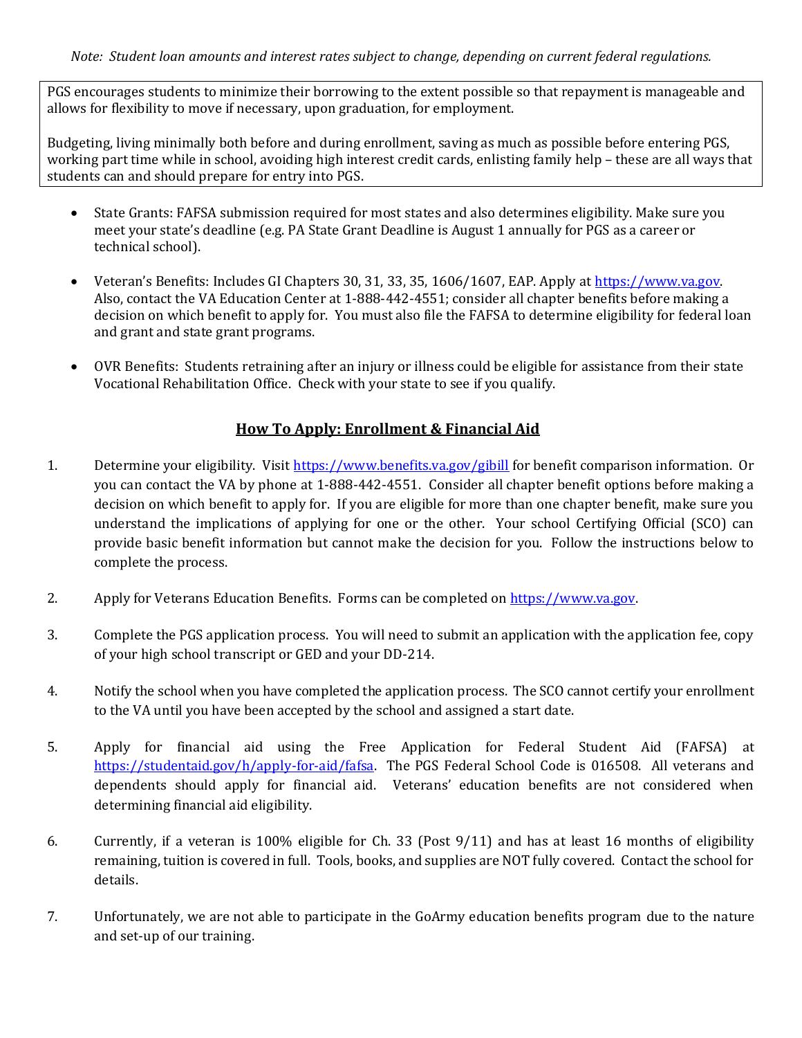PGS encourages students to minimize their borrowing to the extent possible so that repayment is manageable and allows for flexibility to move if necessary, upon graduation, for employment.

Budgeting, living minimally both before and during enrollment, saving as much as possible before entering PGS, working part time while in school, avoiding high interest credit cards, enlisting family help – these are all ways that students can and should prepare for entry into PGS.

- State Grants: FAFSA submission required for most states and also determines eligibility. Make sure you meet your state's deadline (e.g. PA State Grant Deadline is August 1 annually for PGS as a career or technical school).
- Veteran's Benefits: Includes GI Chapters 30, 31, 33, 35, 1606/1607, EAP. Apply at [https://www.va.gov.](https://www.va.gov/) Also, contact the VA Education Center at 1-888-442-4551; consider all chapter benefits before making a decision on which benefit to apply for. You must also file the FAFSA to determine eligibility for federal loan and grant and state grant programs.
- OVR Benefits: Students retraining after an injury or illness could be eligible for assistance from their state Vocational Rehabilitation Office. Check with your state to see if you qualify.

## **How To Apply: Enrollment & Financial Aid**

- 1. Determine your eligibility. Visit<https://www.benefits.va.gov/gibill> for benefit comparison information. Or you can contact the VA by phone at 1-888-442-4551. Consider all chapter benefit options before making a decision on which benefit to apply for. If you are eligible for more than one chapter benefit, make sure you understand the implications of applying for one or the other. Your school Certifying Official (SCO) can provide basic benefit information but cannot make the decision for you. Follow the instructions below to complete the process.
- 2. Apply for Veterans Education Benefits. Forms can be completed o[n https://www.va.gov.](https://www.va.gov/)
- 3. Complete the PGS application process. You will need to submit an application with the application fee, copy of your high school transcript or GED and your DD-214.
- 4. Notify the school when you have completed the application process. The SCO cannot certify your enrollment to the VA until you have been accepted by the school and assigned a start date.
- 5. Apply for financial aid using the Free Application for Federal Student Aid (FAFSA) at [https://studentaid.gov/h/apply-for-aid/fafsa.](https://studentaid.gov/h/apply-for-aid/fafsa) The PGS Federal School Code is 016508. All veterans and dependents should apply for financial aid. Veterans' education benefits are not considered when determining financial aid eligibility.
- 6. Currently, if a veteran is 100% eligible for Ch. 33 (Post 9/11) and has at least 16 months of eligibility remaining, tuition is covered in full. Tools, books, and supplies are NOT fully covered. Contact the school for details.
- 7. Unfortunately, we are not able to participate in the GoArmy education benefits program due to the nature and set-up of our training.